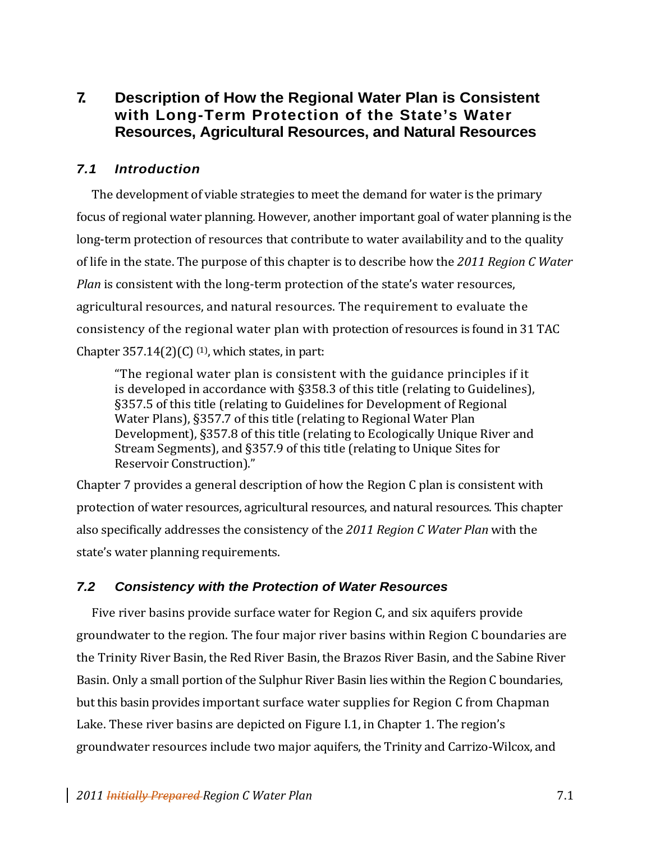# **7. Description of How the Regional Water Plan is Consistent with Long-Term Protection of the State's Water Resources, Agricultural Resources, and Natural Resources**

# *7.1 Introduction*

The development of viable strategies to meet the demand for water is the primary focus of regional water planning. However, another important goal of water planning is the long-term protection of resources that contribute to water availability and to the quality of life in the state. The purpose of this chapter is to describe how the *2011 Region C Water Plan* is consistent with the long-term protection of the state's water resources, agricultural resources, and natural resources. The requirement to evaluate the consistency of the regional water plan with protection of resources is found in 31 TAC Chapter  $357.14(2)(C)$  <sup>(1)</sup>, which states, in part:

"The regional water plan is consistent with the guidance principles if it is developed in accordance with §358.3 of this title (relating to Guidelines), §357.5 of this title (relating to Guidelines for Development of Regional Water Plans), §357.7 of this title (relating to Regional Water Plan Development), §357.8 of this title (relating to Ecologically Unique River and Stream Segments), and §357.9 of this title (relating to Unique Sites for Reservoir Construction)."

Chapter 7 provides a general description of how the Region C plan is consistent with protection of water resources, agricultural resources, and natural resources. This chapter also specifically addresses the consistency of the *2011 Region C Water Plan* with the state's water planning requirements.

# *7.2 Consistency with the Protection of Water Resources*

Five river basins provide surface water for Region C, and six aquifers provide groundwater to the region. The four major river basins within Region C boundaries are the Trinity River Basin, the Red River Basin, the Brazos River Basin, and the Sabine River Basin. Only a small portion of the Sulphur River Basin lies within the Region C boundaries, but this basin provides important surface water supplies for Region C from Chapman Lake. These river basins are depicted on Figure I.1, in Chapter 1. The region's groundwater resources include two major aquifers, the Trinity and Carrizo‐Wilcox, and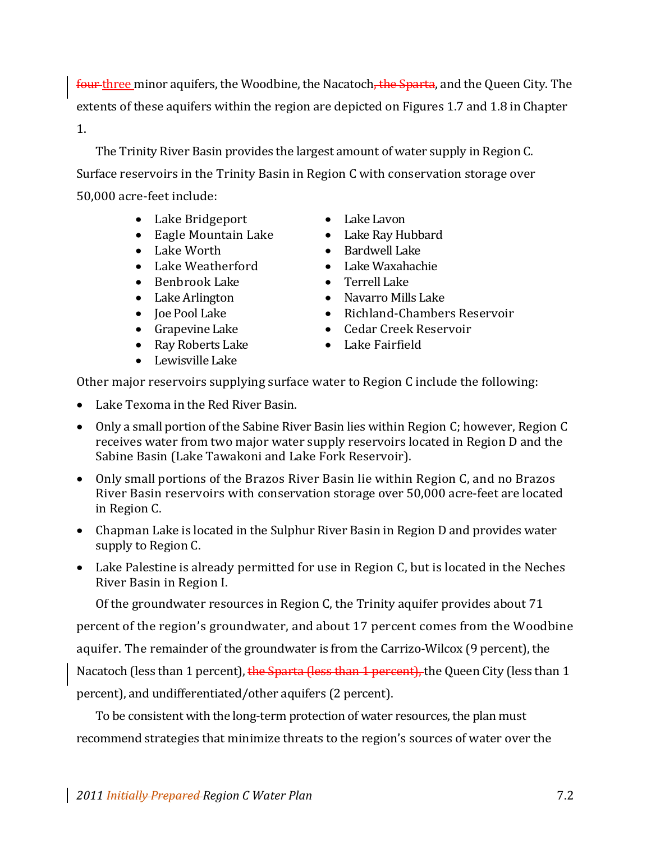four three minor aquifers, the Woodbine, the Nacatoch, the Sparta, and the Queen City. The extents of these aquifers within the region are depicted on Figures 1.7 and 1.8 in Chapter 1.

The Trinity River Basin provides the largest amount of water supply in Region C. Surface reservoirs in the Trinity Basin in Region C with conservation storage over 50,000 acre‐feet include:

- Lake Bridgeport Lake Lavon
- Eagle Mountain Lake **•** Lake Ray Hubbard
- 
- Lake Weatherford Lake Waxahachie
- Benbrook Lake Terrell Lake
- 
- 
- 
- Ray Roberts Lake **Called Called Called Called Called Called Called Called**
- Lewisville Lake
- 
- 
- Lake Worth **•** Bardwell Lake
	-
	-
- Lake Arlington Navarro Mills Lake
- Joe Pool Lake Richland-Chambers Reservoir
- Grapevine Lake Cedar Creek Reservoir
	-

Other major reservoirs supplying surface water to Region C include the following:

- Lake Texoma in the Red River Basin.
- Only a small portion of the Sabine River Basin lies within Region C; however, Region C receives water from two major water supply reservoirs located in Region D and the Sabine Basin (Lake Tawakoni and Lake Fork Reservoir).
- Only small portions of the Brazos River Basin lie within Region C, and no Brazos River Basin reservoirs with conservation storage over 50,000 acre‐feet are located in Region C.
- Chapman Lake is located in the Sulphur River Basin in Region D and provides water supply to Region C.
- Lake Palestine is already permitted for use in Region C, but is located in the Neches River Basin in Region I.

Of the groundwater resources in Region C, the Trinity aquifer provides about 71

percent of the region's groundwater, and about 17 percent comes from the Woodbine

aquifer. The remainder of the groundwater is from the Carrizo‐Wilcox (9 percent), the

Nacatoch (less than 1 percent), the Sparta (less than 1 percent), the Queen City (less than 1

percent), and undifferentiated/other aquifers (2 percent).

To be consistent with the long-term protection of water resources, the plan must recommend strategies that minimize threats to the region's sources of water over the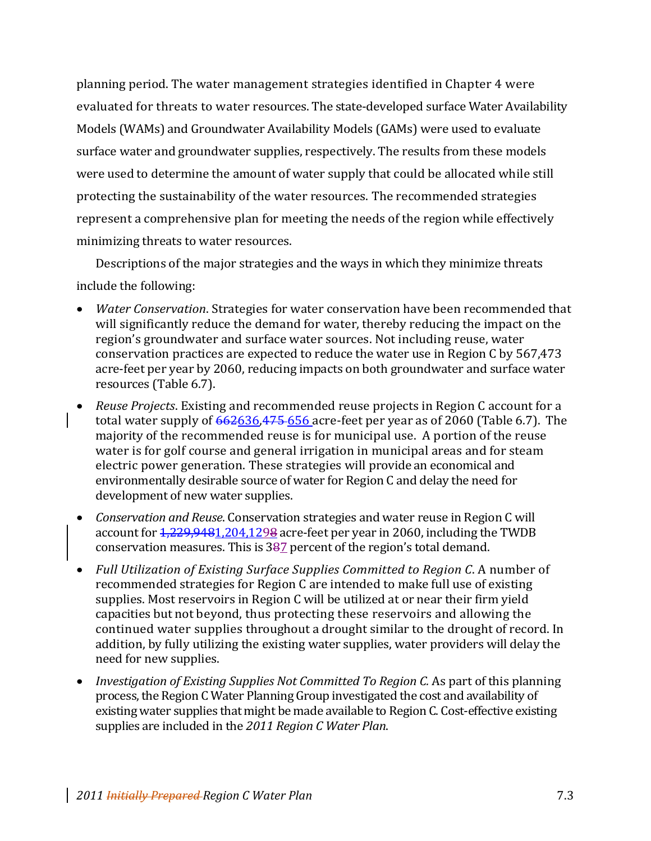planning period. The water management strategies identified in Chapter 4 were evaluated for threats to water resources. The state-developed surface Water Availability Models (WAMs) and Groundwater Availability Models (GAMs) were used to evaluate surface water and groundwater supplies, respectively. The results from these models were used to determine the amount of water supply that could be allocated while still protecting the sustainability of the water resources. The recommended strategies represent a comprehensive plan for meeting the needs of the region while effectively minimizing threats to water resources.

Descriptions of the major strategies and the ways in which they minimize threats include the following:

- *Water Conservation*. Strategies for water conservation have been recommended that will significantly reduce the demand for water, thereby reducing the impact on the region's groundwater and surface water sources. Not including reuse, water conservation practices are expected to reduce the water use in Region C by 567,473 acre‐feet per year by 2060, reducing impacts on both groundwater and surface water resources (Table 6.7).
- *Reuse Projects*. Existing and recommended reuse projects in Region C account for a total water supply of  $662636,475-656$  acre-feet per year as of 2060 (Table 6.7). The majority of the recommended reuse is for municipal use. A portion of the reuse water is for golf course and general irrigation in municipal areas and for steam electric power generation. These strategies will provide an economical and environmentally desirable source of water for Region C and delay the need for development of new water supplies.
- *Conservation and Reuse*. Conservation strategies and water reuse in Region C will account for 1,229,9481,204,1298 acre‐feet per year in 2060, including the TWDB conservation measures. This is 387 percent of the region's total demand.
- *Full Utilization of Existing Surface Supplies Committed to Region C*. A number of recommended strategies for Region C are intended to make full use of existing supplies. Most reservoirs in Region C will be utilized at or near their firm yield capacities but not beyond, thus protecting these reservoirs and allowing the continued water supplies throughout a drought similar to the drought of record. In addition, by fully utilizing the existing water supplies, water providers will delay the need for new supplies.
- *Investigation of Existing Supplies Not Committed To Region C.* As part of this planning process, the Region C Water Planning Group investigated the cost and availability of existing water supplies that might be made available to Region C. Cost-effective existing supplies are included in the *2011 Region C Water Plan*.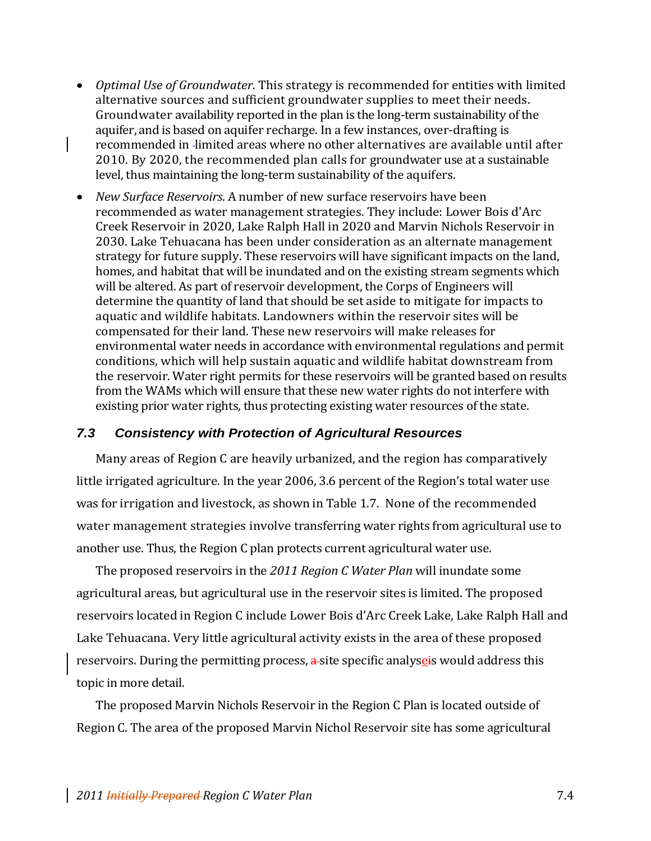- *Optimal Use of Groundwater*. This strategy is recommended for entities with limited alternative sources and sufficient groundwater supplies to meet their needs. Groundwater availability reported in the plan is the long‐term sustainability of the aquifer, and is based on aquifer recharge. In a few instances, over‐drafting is recommended in limited areas where no other alternatives are available until after 2010. By 2020, the recommended plan calls for groundwater use at a sustainable level, thus maintaining the long‐term sustainability of the aquifers.
- *New Surface Reservoirs*. A number of new surface reservoirs have been recommended as water management strategies. They include: Lower Bois d'Arc Creek Reservoir in 2020, Lake Ralph Hall in 2020 and Marvin Nichols Reservoir in 2030. Lake Tehuacana has been under consideration as an alternate management strategy for future supply. These reservoirs will have significant impacts on the land, homes, and habitat that will be inundated and on the existing stream segments which will be altered. As part of reservoir development, the Corps of Engineers will determine the quantity of land that should be set aside to mitigate for impacts to aquatic and wildlife habitats. Landowners within the reservoir sites will be compensated for their land. These new reservoirs will make releases for environmental water needs in accordance with environmental regulations and permit conditions, which will help sustain aquatic and wildlife habitat downstream from the reservoir. Water right permits for these reservoirs will be granted based on results from the WAMs which will ensure that these new water rights do not interfere with existing prior water rights, thus protecting existing water resources of the state.

#### *7.3 Consistency with Protection of Agricultural Resources*

Many areas of Region C are heavily urbanized, and the region has comparatively little irrigated agriculture. In the year 2006, 3.6 percent of the Region's total water use was for irrigation and livestock, as shown in Table 1.7. None of the recommended water management strategies involve transferring water rights from agricultural use to another use. Thus, the Region C plan protects current agricultural water use.

The proposed reservoirs in the *2011 Region C Water Plan* will inundate some agricultural areas, but agricultural use in the reservoir sites is limited. The proposed reservoirs located in Region C include Lower Bois d'Arc Creek Lake, Lake Ralph Hall and Lake Tehuacana. Very little agricultural activity exists in the area of these proposed reservoirs. During the permitting process,  $\frac{a}{x}$  site specific analyseis would address this topic in more detail.

The proposed Marvin Nichols Reservoir in the Region C Plan is located outside of Region C. The area of the proposed Marvin Nichol Reservoir site has some agricultural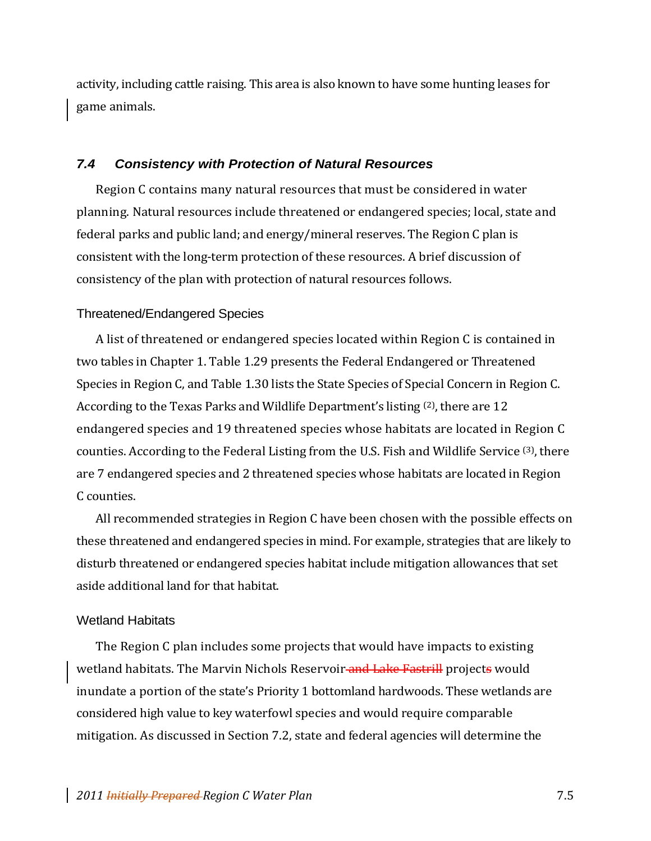activity, including cattle raising. This area is also known to have some hunting leases for game animals.

#### *7.4 Consistency with Protection of Natural Resources*

Region C contains many natural resources that must be considered in water planning. Natural resources include threatened or endangered species; local, state and federal parks and public land; and energy/mineral reserves. The Region C plan is consistent with the long‐term protection of these resources. A brief discussion of consistency of the plan with protection of natural resources follows.

#### Threatened/Endangered Species

A list of threatened or endangered species located within Region C is contained in two tables in Chapter 1. Table 1.29 presents the Federal Endangered or Threatened Species in Region C, and Table 1.30 lists the State Species of Special Concern in Region C. According to the Texas Parks and Wildlife Department's listing <sup>(2)</sup>, there are 12 endangered species and 19 threatened species whose habitats are located in Region C counties. According to the Federal Listing from the U.S. Fish and Wildlife Service (3), there are 7 endangered species and 2 threatened species whose habitats are located in Region C counties.

All recommended strategies in Region C have been chosen with the possible effects on these threatened and endangered species in mind. For example, strategies that are likely to disturb threatened or endangered species habitat include mitigation allowances that set aside additional land for that habitat.

#### Wetland Habitats

The Region C plan includes some projects that would have impacts to existing wetland habitats. The Marvin Nichols Reservoir and Lake Fastrill projects would inundate a portion of the state's Priority 1 bottomland hardwoods. These wetlands are considered high value to key waterfowl species and would require comparable mitigation. As discussed in Section 7.2, state and federal agencies will determine the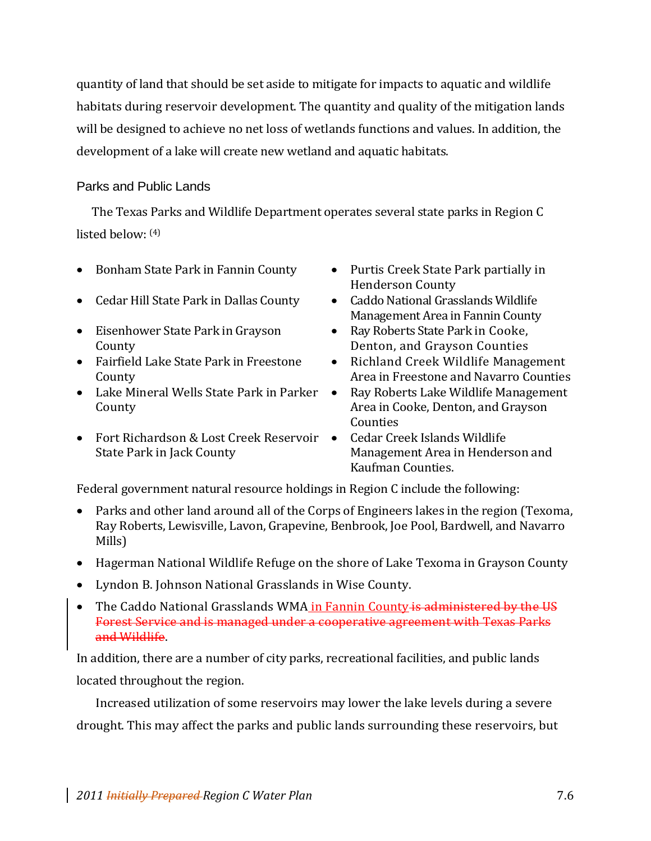quantity of land that should be set aside to mitigate for impacts to aquatic and wildlife habitats during reservoir development. The quantity and quality of the mitigation lands will be designed to achieve no net loss of wetlands functions and values. In addition, the development of a lake will create new wetland and aquatic habitats.

### Parks and Public Lands

The Texas Parks and Wildlife Department operates several state parks in Region C listed below: (4)

- Bonham State Park in Fannin County Purtis Creek State Park partially in
- Cedar Hill State Park in Dallas County Caddo National Grasslands Wildlife
- Eisenhower State Park in Grayson County
- Fairfield Lake State Park in Freestone County
- Lake Mineral Wells State Park in Parker County
- Fort Richardson & Lost Creek Reservoir State Park in Jack County
- Henderson County
- Management Area in Fannin County
- Ray Roberts State Park in Cooke, Denton, and Grayson Counties
- Richland Creek Wildlife Management Area in Freestone and Navarro Counties
- Ray Roberts Lake Wildlife Management Area in Cooke, Denton, and Grayson Counties
- Cedar Creek Islands Wildlife Management Area in Henderson and Kaufman Counties.

Federal government natural resource holdings in Region C include the following:

- Parks and other land around all of the Corps of Engineers lakes in the region (Texoma, Ray Roberts, Lewisville, Lavon, Grapevine, Benbrook, Joe Pool, Bardwell, and Navarro Mills)
- Hagerman National Wildlife Refuge on the shore of Lake Texoma in Grayson County
- Lyndon B. Johnson National Grasslands in Wise County.
- The Caddo National Grasslands WMA in Fannin County is administered by the US Forest Service and is managed under a cooperative agreement with Texas Parks and Wildlife.

In addition, there are a number of city parks, recreational facilities, and public lands located throughout the region.

Increased utilization of some reservoirs may lower the lake levels during a severe drought. This may affect the parks and public lands surrounding these reservoirs, but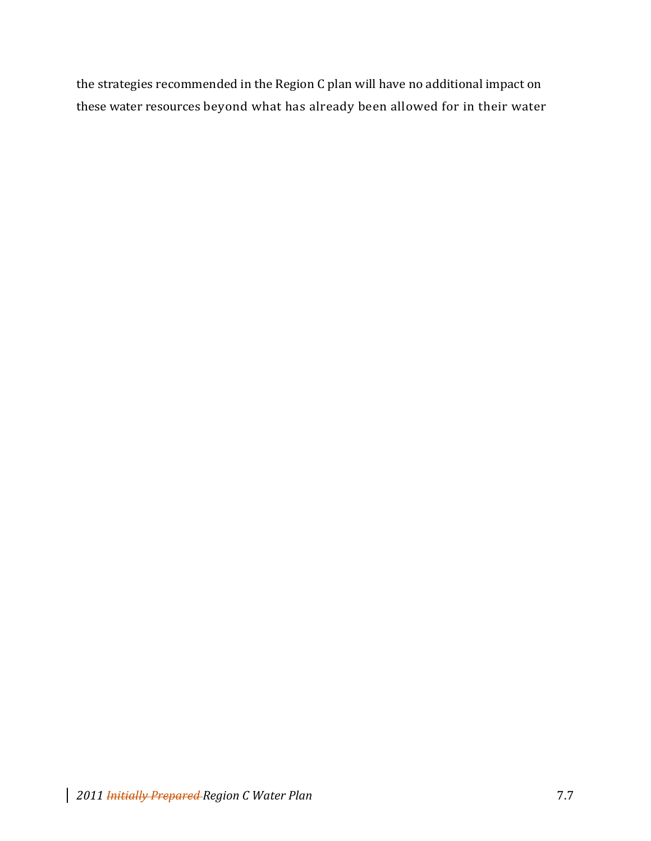the strategies recommended in the Region C plan will have no additional impact on these water resources beyond what has already been allowed for in their water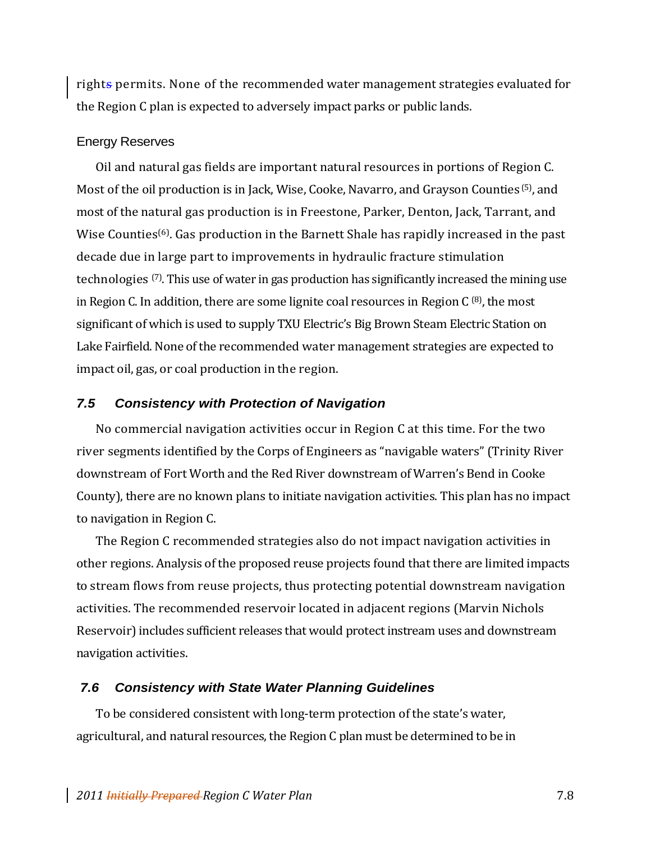rights permits. None of the recommended water management strategies evaluated for the Region C plan is expected to adversely impact parks or public lands.

#### Energy Reserves

Oil and natural gas fields are important natural resources in portions of Region C. Most of the oil production is in Jack, Wise, Cooke, Navarro, and Grayson Counties (5), and most of the natural gas production is in Freestone, Parker, Denton, Jack, Tarrant, and Wise Counties<sup>(6)</sup>. Gas production in the Barnett Shale has rapidly increased in the past decade due in large part to improvements in hydraulic fracture stimulation technologies (7). This use of water in gas production has significantly increased the mining use in Region C. In addition, there are some lignite coal resources in Region C  $(8)$ , the most significant of which is used to supply TXU Electric's Big Brown Steam Electric Station on Lake Fairfield. None of the recommended water management strategies are expected to impact oil, gas, or coal production in the region.

#### *7.5 Consistency with Protection of Navigation*

No commercial navigation activities occur in Region C at this time. For the two river segments identified by the Corps of Engineers as "navigable waters" (Trinity River downstream of Fort Worth and the Red River downstream of Warren's Bend in Cooke County), there are no known plans to initiate navigation activities. This plan has no impact to navigation in Region C.

The Region C recommended strategies also do not impact navigation activities in other regions. Analysis of the proposed reuse projects found that there are limited impacts to stream flows from reuse projects, thus protecting potential downstream navigation activities. The recommended reservoir located in adjacent regions (Marvin Nichols Reservoir) includes sufficient releases that would protect instream uses and downstream navigation activities.

#### *7.6 Consistency with State Water Planning Guidelines*

To be considered consistent with long‐term protection of the state's water, agricultural, and natural resources, the Region C plan must be determined to be in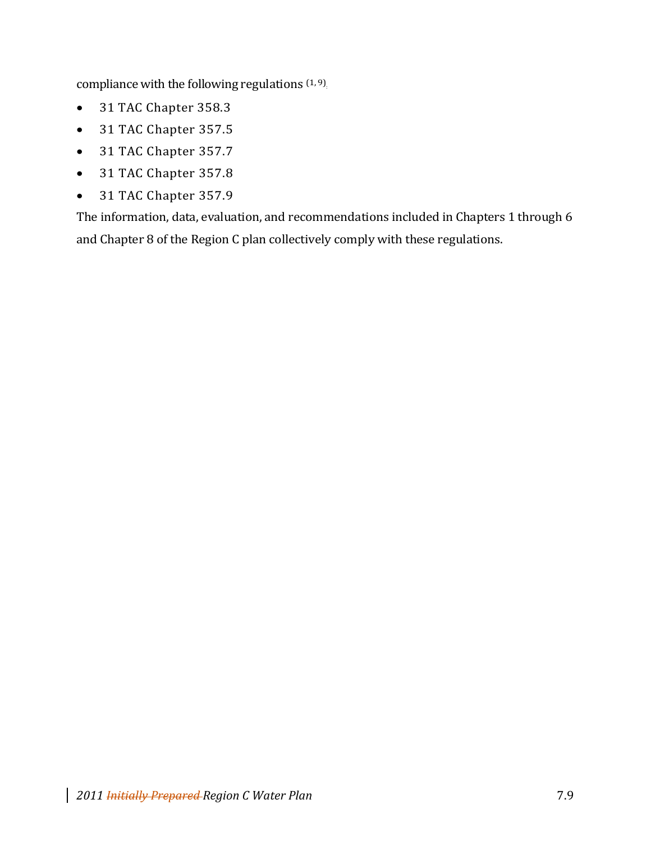compliance with the following regulations  $(1, 9)$ .

- 31 TAC Chapter 358.3
- 31 TAC Chapter 357.5
- 31 TAC Chapter 357.7
- 31 TAC Chapter 357.8
- 31 TAC Chapter 357.9

The information, data, evaluation, and recommendations included in Chapters 1 through 6 and Chapter 8 of the Region C plan collectively comply with these regulations.